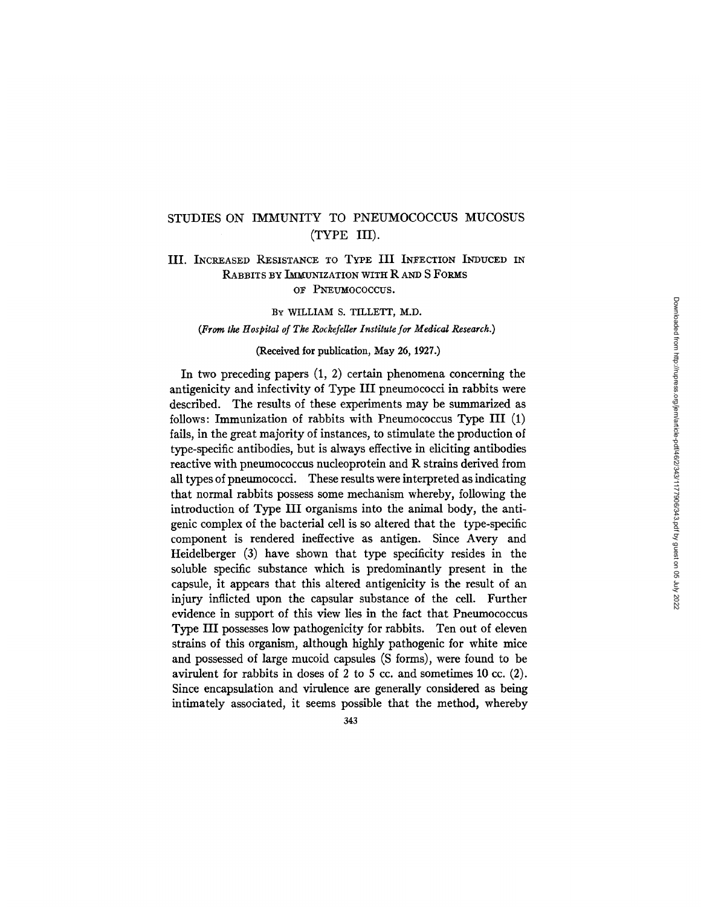# STUDIES ON IMMUNITY TO PNEUMOCOCCUS MUCOSUS (TYPE III).

# HI. INCREASED RESISTANCE TO TYPE III INFECTION INDUCED IN RABBITS BY IMMUNIZATION WITH R AND S FORMS OF PNEUMOCOCCUS.

## BY WILLIAM S. TILLETT, M.D.

# (From *the Hospital of The Rockefeller Institute for Medical Research.)*

## (Received for publication, May 26, 1927.)

In two preceding papers (1, 2) certain phenomena concerning the antigenicity and infectivity of Type III pneumococci in rabbits were described. The results of these experiments may be summarized as follows: Immunization of rabbits with Pneumococcus Type III (1) fails, in the great majority of instances, to stimulate the production of type-specific antibodies, but is always effective in eliciting antibodies reactive with pneumococcus nucleoprotein and R strains derived from all types of pneumocoeci. These results were interpreted as indicating that normal rabbits possess some mechanism whereby, following the introduction of Type III organisms into the animal body, the antigenie complex of the bacterial cell is so altered that the type-specific component is rendered ineffective as antigen. Since Avery and Heidelberger (3) have shown that type specificity resides in the soluble specific substance which is predominantly present in the capsule, it appears that this altered antigenicity is the result of an injury inflicted upon the capsular substance of the cell. Further evidence in support of this view lies in the fact that Pneumococcus Type HI possesses low pathogenicity for rabbits. Ten out of eleven strains of this organism, although highly pathogenic for white mice and possessed of large mucoid capsules (S forms), were found to be avirulent for rabbits in doses of 2 to 5 cc. and sometimes 10 ec. (2). Since encapsulation and virulence are generally considered as being intimately associated, it seems possible that the method, whereby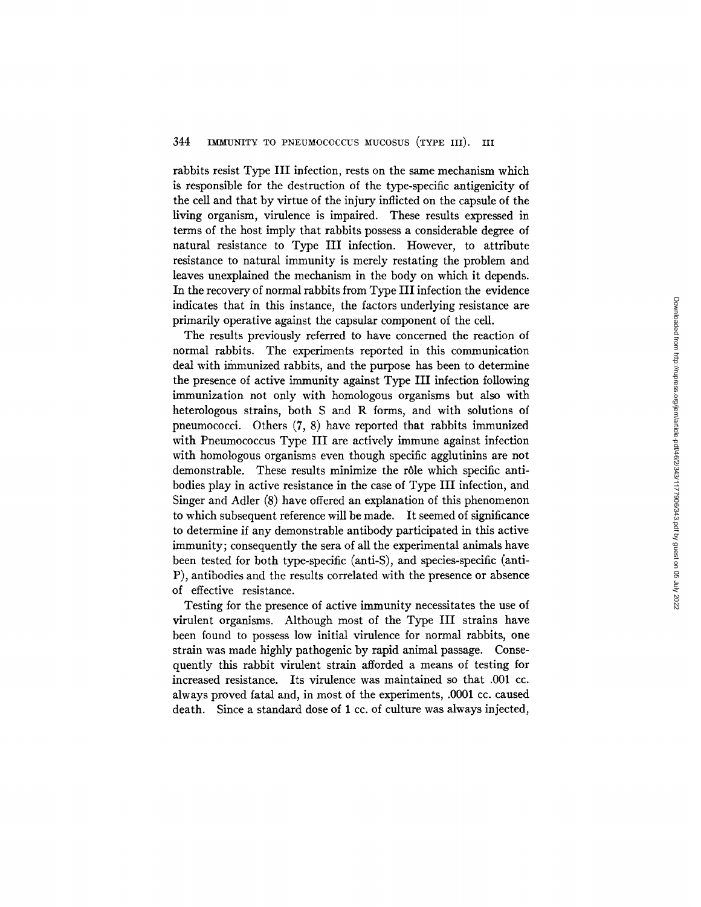rabbits resist Type III infection, rests on the same mechanism which is responsible for the destruction of the type-specific antigenicity of the cell and that by virtue of the injury inflicted on the capsule of the living organism, virulence is impaired. These results expressed in terms of the host imply that rabbits possess a considerable degree of natural resistance to Type III infection. However, to attribute resistance to natural immunity is merely restating the problem and leaves unexplained the mechanism in the body on which it depends. In the recovery of normal rabbits from Type III infection the evidence indicates that in this instance, the factors underlying resistance are primarily operative against the capsular component of the cell.

The results previously referred to have concerned the reaction of normal rabbits. The experiments reported in this communication deal with immunized rabbits, and the purpose has been to determine the presence of active immunity against Type III infection following immunization not only with homologous organisms but also with heterologous strains, both S and R forms, and with solutions of pneumococci. Others (7, 8) have reported that rabbits immunized with Pneumococcus Type III are actively immune against infection with homologous organisms even though specific agglutinins are not demonstrable. These results minimize the r61e which specific antibodies play in active resistance in the case of Type III infection, and Singer and Adler (8) have offered an explanation of this phenomenon to which subsequent reference will be made. It seemed of significance to determine if any demonstrable antibody participated in this active immunity; consequently the sera of all the experimental animals have been tested for both type-specific (anti-S), and species-specific (anti-P), antibodies and the results correlated with the presence or absence of effective resistance.

Testing for the presence of active immunity necessitates the use of virulent organisms. Although most of the Type III strains have been found to possess low initial virulence for normal rabbits, one strain was made highly pathogenic by rapid animal passage. Consequently this rabbit virulent strain afforded a means of testing for increased resistance. Its virulence was maintained so that .001 cc. always proved fatal and, in most of the experiments, .0001 cc. caused death. Since a standard dose of 1 cc. of culture was always injected,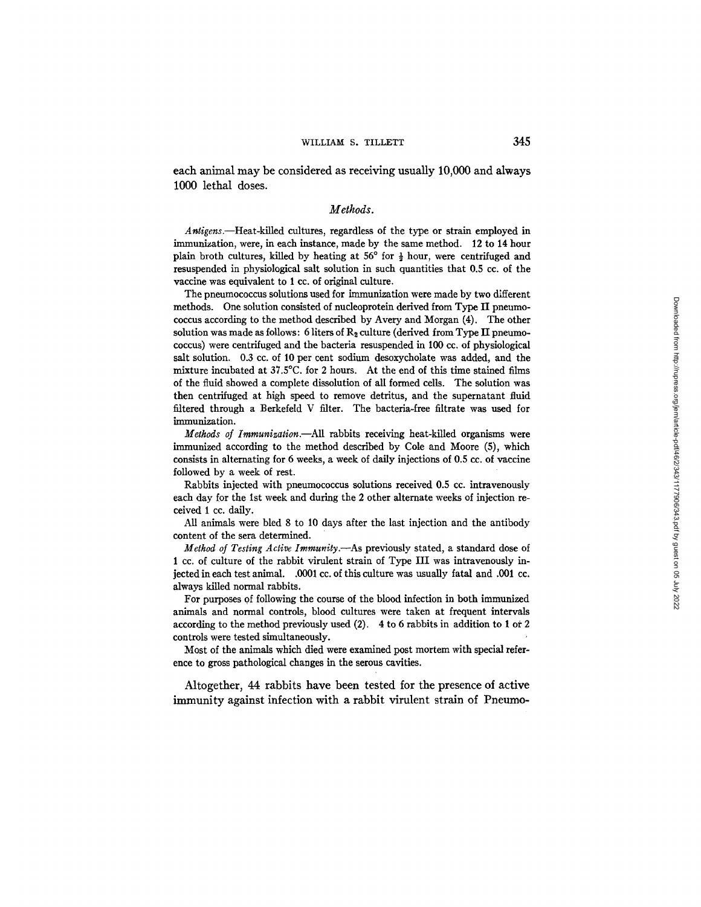each animal may be considered as receiving usually 10,000 and always 1000 lethal doses.

## *Methods.*

*Antigens.--Heat-killed* cultures, regardless of the type or strain employed in immunization, were, in each instance, made by the same method. 12 to 14 hour plain broth cultures, killed by heating at 56 $\degree$  for  $\frac{1}{2}$  hour, were centrifuged and resuspended in physiological salt solution in such quantities that 0.5 cc. of the vaccine was equivalent to 1 cc. of original culture.

The pneumococcus solutions used for immunization were made by two different methods. One solution consisted of nucleoprotein derived from Type II pneumococcus according to the method described by Avery and Morgan (4). The other solution was made as follows: 6 liters of  $R_2$  culture (derived from Type II pneumococcus) were centrifuged and the bacteria resuspended in 100 co. of physiological salt solution. 0.3 cc. of 10 per cent sodium desoxycholate was added, and the mixture incubated at 37.5°C. for 2 hours. At the end of this time stained films of the fluid showed a complete dissolution of all formed cells. The solution was then centrifuged at high speed to remove detritus, and the supernatant fluid filtered through a Berkefeld V filter. The bacteria-free filtrate was used for immunization.

*Methods of Immunization.--All* rabbits receiving heat-killed organisms were immunized according to the method described by Cole and Moore (5), which consists in alternating for 6 weeks, a week of daily injections of 0.5 cc. of vaccine followed by a week of rest.

Rabbits injected with pneumococcus solutions received 0.5 cc. intravenously each day for the 1st week and during the 2 other alternate weeks of injection received 1 cc. daily.

All animals were bled 8 to 10 days after the last injection and the antibody content of the sera determined.

*Method of Testing Active Immunity.--As* previously stated, a standard dose of 1 cc. of culture of the rabbit virulent strain of Type III was intravenously injected in each test animal. .0001 cc. of this culture was usually fatal and .001 co. always killed normal rabbits.

For purposes of following the course of the blood infection in both immunized animals and normal controls, blood cultures were taken at frequent intervals according to the method previously used (2). 4 to 6 rabbits in addition to 1 or 2 controls were tested simultaneously.

Most of the animals which died were examined post mortem with special reference to gross pathological changes in the serous cavities.

Altogether, 44 rabbits have been tested for the presence of active immunity against infection with a rabbit virulent strain of Pneumo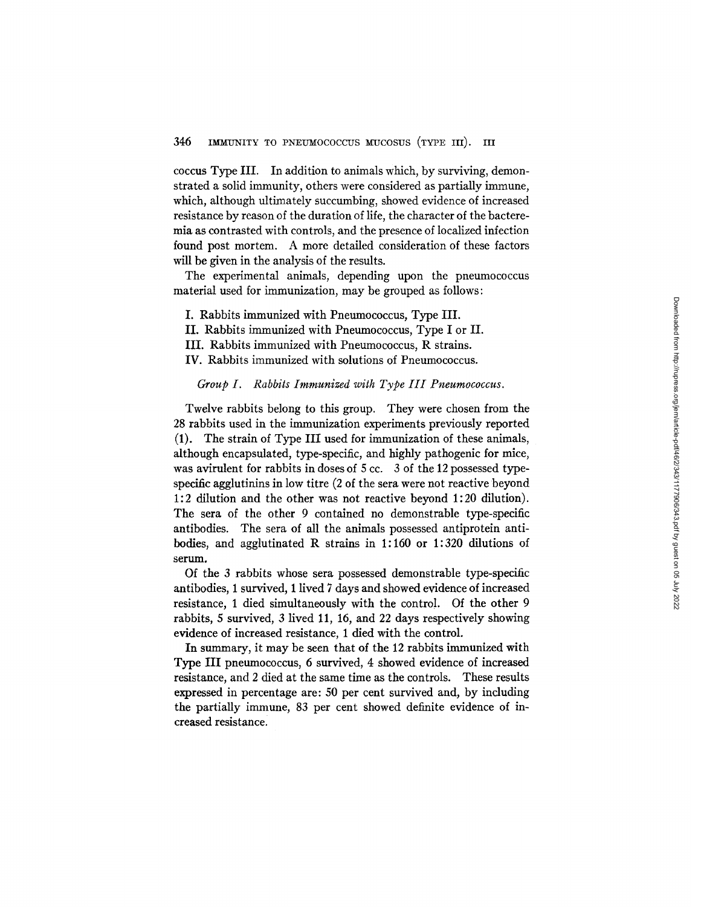coccus Type III. In addition to animals which, by surviving, demonstrated a solid immunity, others were considered as partially immune, which, although ultimately succumbing, showed evidence of increased resistance by reason of the duration of life, the character of the bacteremia as contrasted with controls, and the presence of localized infection found post mortem. A more detailed consideration of these factors will be given in the analysis of the results.

The experimental animals, depending upon the pneumococcus material used for immunization, may be grouped as follows:

I. Rabbits immunized with Pneumococcus, Type III.

II. Rabbits immunized with Pneumococcus, Type I or II.

III. Rabbits immunized with Pneumococcus, R strains.

IV. Rabbits immunized with solutions of Pneumococcus.

## *Group [. Rabbits Immunized with Type [H Pneumococcus.*

Twelve rabbits belong to this group. They were chosen from the 28 rabbits used in the immunization experiments previously reported (1). The strain of Type III used for immunization of these animals, although encapsulated, type-specific, and highly pathogenic for mice, was avirulent for rabbits in doses of 5 cc. 3 of the 12 possessed typespecific agglufinins in low titre (2 of the sera were not reactive beyond 1:2 dilution and the other was not reactive beyond 1:20 dilution). The sera of the other 9 contained no demonstrable type-specific antibodies. The sera of all the animals possessed antiprotein antibodies, and agglutinated R strains in 1:160 or 1:320 dilutions of serum,

Of the 3 rabbits whose sera possessed demonstrable type-specific antibodies, 1 survived, 1 lived 7 days and showed evidence of increased resistance, 1 died simultaneously with the control. Of the other 9 rabbits, 5 survived, 3 lived 11, 16, and 22 days respectively showing evidence of increased resistance, 1 died with the control.

In summary, it may be seen that of the 12 rabbits immunized with Type III pneumococcus, 6 survived, 4 showed evidence of increased resistance, and 2 died at the same time as the controls. These results expressed in percentage are: 50 per cent survived and, by including the partially immune, 83 per cent showed definite evidence of increased resistance'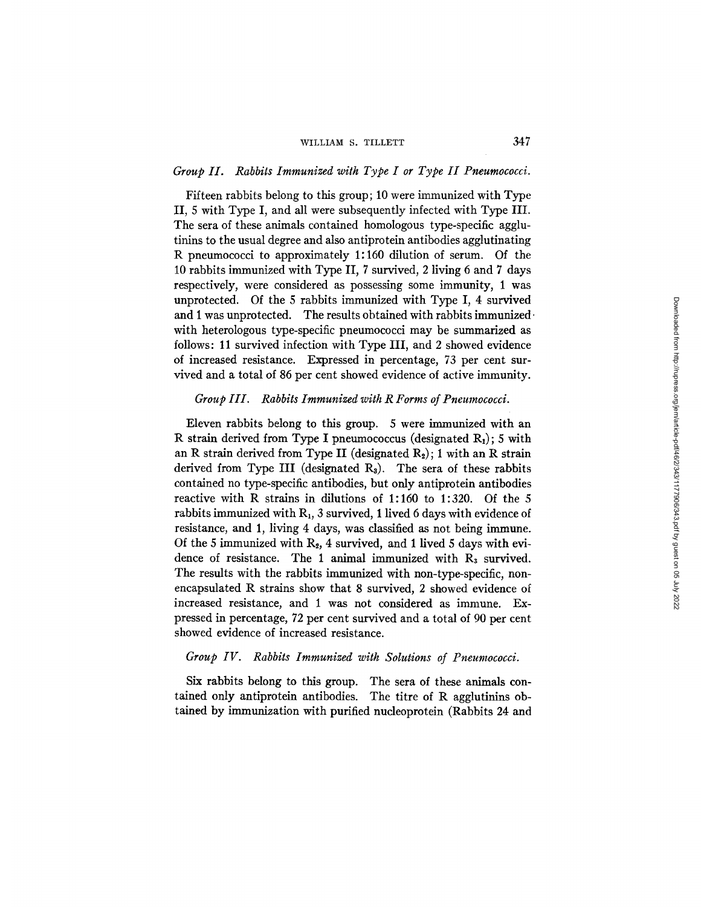## *Group 1I. Rabbits Immunized with Type I or Type II Pneumococci.*

Fifteen rabbits belong to this group; 10 were immunized with Type II, 5 with Type I, and all were subsequently infected with Type III. The sera of these animals contained homologous type-specific agglutinins to the usual degree and also antiprotein antibodies agglutinating R pneumococci to approximately 1:160 dilution of serum. Of the 10 rabbits immunized with Type II, 7 survived, 2 living 6 and 7 days respectively, were considered as possessing some immunity, 1 was unprotected. Of the 5 rabbits immunized with Type I, 4 survived and 1 was unprotected. The results obtained with rabbits immunized. with heterologous type-specific pneumococci may be summarized as follows: 11 survived infection with Type III, and 2 showed evidence of increased resistance. Expressed in percentage, 73 per cent survived and a total of 86 per cent showed evidence of active immunity.

## *Group 111. Rabbits Immunized with R Forms of Pneumococci.*

Eleven rabbits belong to this group. 5 were immunized with an R strain derived from Type I pneumococcus (designated  $R_1$ ); 5 with an R strain derived from Type II (designated  $R_2$ ); 1 with an R strain derived from Type III (designated  $R_3$ ). The sera of these rabbits contained no type-specific antibodies, but only antiprotein antibodies reactive with R strains in dilutions of 1:160 to 1:320. Of the 5 rabbits immunized with  $R_1$ , 3 survived, 1 lived 6 days with evidence of resistance, and 1, living 4 days, was classified as not being immune. Of the 5 immunized with  $R_2$ , 4 survived, and 1 lived 5 days with evidence of resistance. The 1 animal immunized with  $R_3$  survived. The results with the rabbits immunized with non-type-specific, nonencapsulated R strains show that 8 survived, 2 showed evidence of increased resistance, and 1 was not considered as immune. Expressed in percentage, 72 per cent survived and a total of 90 per cent showed evidence of increased resistance.

## *Group 1V. Rabbits Immunized with Solutions of Pneumococci.*

Six rabbits belong to this group. The sera of these animals conrained only antiprotein antibodies. The titre of R agglutinins obtained by immunization with purified nucleoprotein (Rabbits 24 and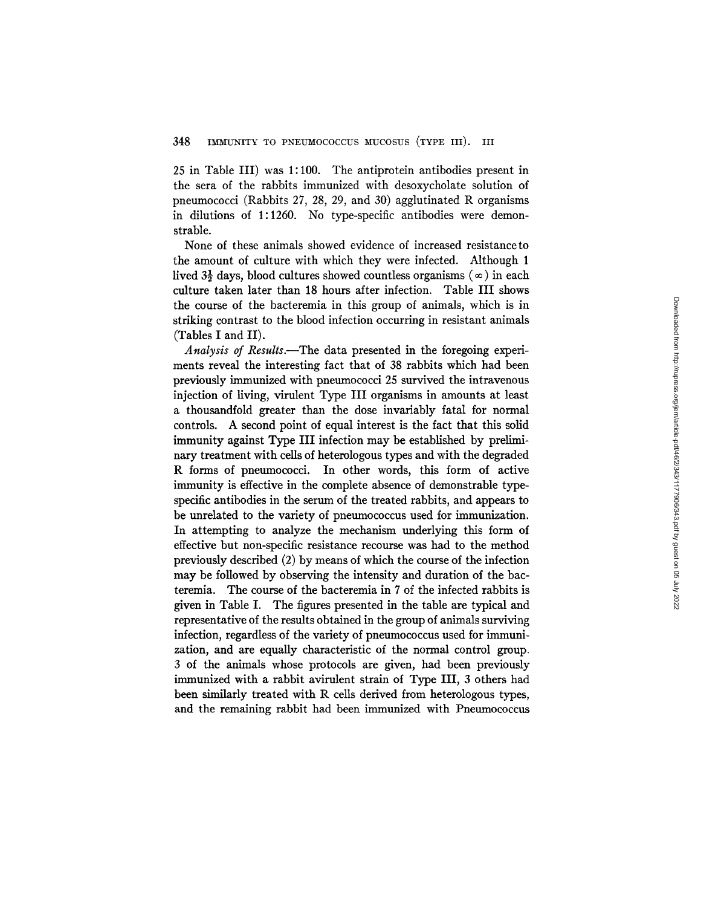25 in Table III) was 1:100. The antiprotein antibodies present in the sera of the rabbits immunized with desoxycholate solution of pneumococci (Rabbits 27, 28, 29, and 30) agglutinated R organisms in dilutions of 1: 1260. No type-specific antibodies were demonstrable.

None of these animals showed evidence of increased resistance to the amount of culture with which they were infected. Although 1 lived  $3\frac{1}{2}$  days, blood cultures showed countless organisms ( $\infty$ ) in each culture taken later than 18 hours after infection. Table III shows the course of the bacteremia in this group of animals, which is in striking contrast to the blood infection occurring in resistant animals (Tables I and II).

*Analysis of Results.--The* data presented in the foregoing experiments reveal the interesting fact that of 38 rabbits which had been previously immunized with pneumococci 25 survived the intravenous injection of living, virulent Type III organisms in amounts at least a thousandfold greater than the dose invariably fatal for normal controls. A second point of equal interest is the fact that this solid immunity against Type III infection may be established by preliminary treatment with cells of heterologous types and with the degraded R forms of pneumococci. In other words, this form of active immunity is effective in the complete absence of demonstrable typespecific antibodies in the serum of the treated rabbits, and appears to be unrelated to the variety of pneumococcus used for immunization. In attempting to analyze the mechanism underlying this form of effective but non-specific resistance recourse was had to the method previously described (2) by means of which the course of the infection may be followed by observing the intensity and duration of the bacteremia. The course of the bacteremia in 7 of the infected rabbits is given in Table I. The figures presented in the table are typical and representative of the results obtained in the group of animals surviving infection, regardless of the variety of pneumococcus used for immunization, and are equally characteristic of the normal control group. 3 of the animals whose protocols are given, had been previously immunized with a rabbit avirulent strain of Type III, 3 others had been similarly treated with R cells derived from heterologous types, and the remaining rabbit had been immunized with Pneumococcus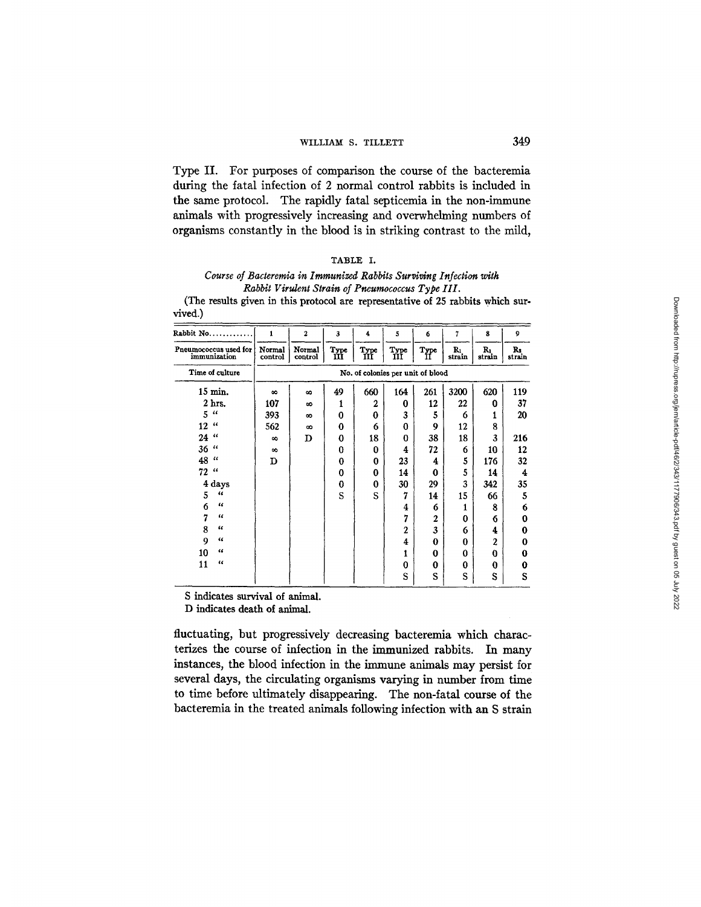Type II. For purposes of comparison the course of the bacteremia during the fatal infection of 2 normal control rabbits is included in the same protocol. The rapidly fatal septicemia in the non-immune animals with progressively increasing and overwhelming numbers of organisms constantly in the blood is in striking contrast to the mild,

### TABLE I.

## *Course of Bacteremia in Immunized Rabbits Surviving Infection with Rabbit Virulent Strain of Pneumococcus Type IlL*

(The results given in this protocol are representative of 25 rabbits which survived.)

| $\mathbf{1}$                      | $\mathbf{2}$      | 3         | 4          | 5            | 6    | 7                        | 8               | $\boldsymbol{9}$ |  |  |
|-----------------------------------|-------------------|-----------|------------|--------------|------|--------------------------|-----------------|------------------|--|--|
| Normal<br>control                 | Normal<br>control | Type<br>ш | Type<br>ĤÌ | Type<br>ш    | Type | $\mathbf{R}_1$<br>strain | $R_1$<br>strain | R,<br>strain     |  |  |
| No. of colonies per unit of blood |                   |           |            |              |      |                          |                 |                  |  |  |
| $\infty$                          | $\infty$          | 49        | 660        | 164          | 261  | 3200                     | 620             | 119              |  |  |
| 107                               | $\infty$          | 1         | 2          | 0            | 12   | 22                       | 0               | 37               |  |  |
| 393                               | $\infty$          | 0         | 0          | 3            | 5    | 6                        | ı               | 20               |  |  |
| 562                               | $\infty$          | 0         | 6          | 0            | 9    | 12                       | 8               |                  |  |  |
| $\infty$                          | D                 | 0         | 18         | 0            | 38   | 18                       | 3               | 216              |  |  |
| $\infty$                          |                   | 0         | 0          | 4            | 72   | 6                        | 10              | 12               |  |  |
| D                                 |                   | $\bf{0}$  | 0          | 23           | 4    | 5                        | 176             | 32               |  |  |
|                                   |                   | $\bf{0}$  | 0          | 14           | 0    | 5                        | 14              | 4                |  |  |
|                                   |                   | 0         | 0          | 30           | 29   | 3                        | 342             | 35               |  |  |
|                                   |                   | S         | S          | 7            | 14   | 15                       | 66              | 5                |  |  |
|                                   |                   |           |            | 4            | 6    | 1                        | 8               | 6                |  |  |
|                                   |                   |           |            | 7            | 2    | 0                        | 6               | $\bf{0}$         |  |  |
|                                   |                   |           |            | $\mathbf{2}$ | 3    | 6                        | 4               | 0                |  |  |
|                                   |                   |           |            | 4            | 0    | 0                        | $\overline{2}$  | 0                |  |  |
|                                   |                   |           |            | 1            | 0    | 0                        | 0               | 0                |  |  |
|                                   |                   |           |            | 0            | 0    | 0                        | $\bf{0}$        | 0                |  |  |
|                                   |                   |           |            | S            | S    | S                        | S               | S                |  |  |
|                                   |                   |           |            |              |      |                          |                 |                  |  |  |

S indicates survival of animal

D indicates death of animal.

fluctuating, but progressively decreasing bacteremia which characterizes the course of infection in the immunized rabbits. In many instances, the blood infection in the immune animals may persist for several days, the circulating organisms varying in number from time to time before ultimately disappearing. The non-fatal course of the bacteremia in the treated animals following infection with an S strain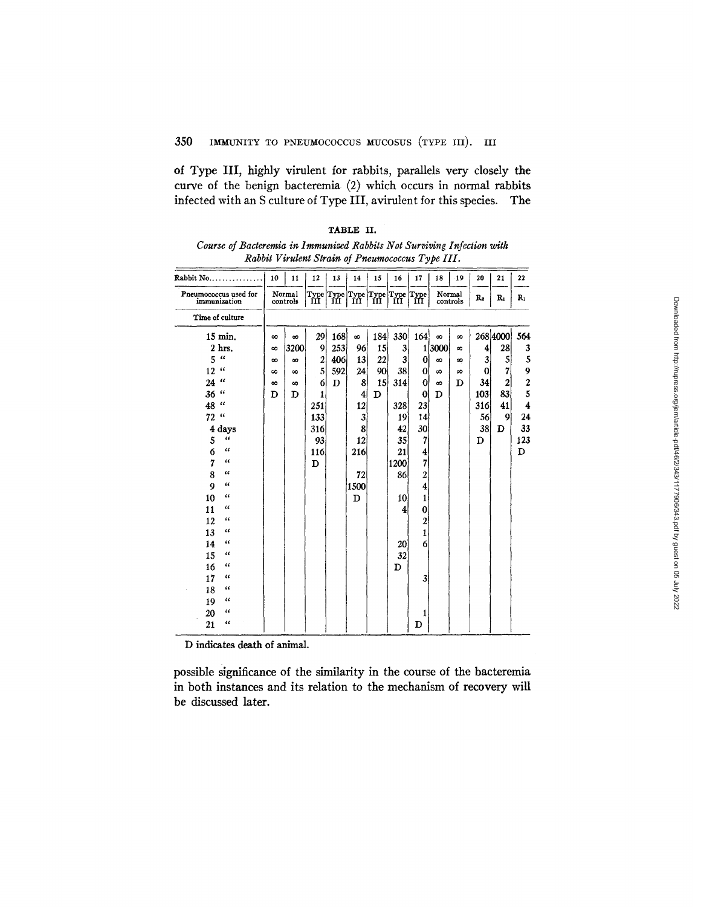of Type III, highly virulent for rabbits, parallels very closely the curve of the benign bacteremia (2) which occurs in normal rabbits infected with an S culture of Type III, avirulent for this species. The

### TABLE II.

*Course of Bacteremia in Immunized Rabbits Not Surviving Infection with Rabbit Virulent Strain of Pneumococcus Type III.* 

| Rabbit No                             | 10       | 11                 | 12               | 13  | 14          | 15  | 16                                                           | 17                      | 18                 | -19      | 20             | 21             | $22\,$           |
|---------------------------------------|----------|--------------------|------------------|-----|-------------|-----|--------------------------------------------------------------|-------------------------|--------------------|----------|----------------|----------------|------------------|
| Pneumococcus used for<br>immunization |          | Normal<br>controls |                  |     |             |     | Type Type Type Type Type Type<br>III III III III III III III |                         | Normal<br>controls |          | R <sub>2</sub> | $\mathbf{R}_1$ | $\mathbf{R}_1$   |
| Time of culture                       |          |                    |                  |     |             |     |                                                              |                         |                    |          |                |                |                  |
| 15 min.                               | $\infty$ | $\infty$           | 29               | 168 | $\infty$    | 184 | 330                                                          | 164                     | $\infty$           | $\infty$ |                | 268 4000 564   |                  |
| 2 hrs.                                | $\infty$ | 3200               | 9                | 253 | 96          | 15  | 3                                                            |                         | 1 3000             | œ        | 4              | 28             | 3                |
| 66<br>5                               | œ        | $\infty$           | $\boldsymbol{2}$ | 406 | 13          | 22  | 3                                                            | 0                       | $\infty$           | œ        | 3              | 5              | 5                |
| 12<br>"                               | $\infty$ | $\infty$           | $\mathbf{s}$     | 592 | 24          | 90  | 38                                                           | 0                       | œ                  | $\infty$ | 0              | 7              | 9                |
| "<br>24                               | œ        | $\infty$           | 6                | D   | 8           | 15  | 314                                                          | 0                       | ∞                  | D        | 34             | 2              | $\boldsymbol{2}$ |
| $\epsilon$<br>36                      | D        | D                  | 1                |     | 4           | D   |                                                              | $\bf{0}$                | D                  |          | 103            | 83             | 5                |
| 48<br>"                               |          |                    | 251              |     | 12          |     | 328                                                          | 23                      |                    |          | 316            | 41             | 4                |
| $72$ $\cdot$                          |          |                    | 133              |     | 3           |     | 19                                                           | 14                      |                    |          | 56             | 9              | 24               |
| 4 days                                |          |                    | 316              |     | 8           |     | 42                                                           | 30                      |                    |          | 38             | D              | 33               |
| 66<br>5                               |          |                    | 93               |     | 12          |     | 35                                                           | 7                       |                    |          | D              |                | 123              |
| 6<br>$\epsilon$                       |          |                    | 116              |     | 216         |     | 21                                                           | 4                       |                    |          |                |                | D                |
| $\epsilon$                            |          |                    | D                |     |             |     | 1200                                                         | 7                       |                    |          |                |                |                  |
| 8<br>"                                |          |                    |                  |     | 72          |     | 86                                                           | $\overline{\mathbf{c}}$ |                    |          |                |                |                  |
| 9<br>66                               |          |                    |                  |     | 1500        |     |                                                              | $\overline{4}$          |                    |          |                |                |                  |
| 66<br>10                              |          |                    |                  |     | $\mathbf D$ |     | 10                                                           | $\mathbf{1}$            |                    |          |                |                |                  |
| "<br>11                               |          |                    |                  |     |             |     | 4                                                            | $\bf{0}$                |                    |          |                |                |                  |
| "<br>12                               |          |                    |                  |     |             |     |                                                              | $\overline{\mathbf{c}}$ |                    |          |                |                |                  |
| "<br>13                               |          |                    |                  |     |             |     |                                                              | $\mathbf{1}$            |                    |          |                |                |                  |
| "<br>14                               |          |                    |                  |     |             |     | 20                                                           | 6                       |                    |          |                |                |                  |
| "<br>15                               |          |                    |                  |     |             |     | 32                                                           |                         |                    |          |                |                |                  |
| "<br>16                               |          |                    |                  |     |             |     | D                                                            |                         |                    |          |                |                |                  |
| $\epsilon$<br>17                      |          |                    |                  |     |             |     |                                                              | 3                       |                    |          |                |                |                  |
| "<br>18                               |          |                    |                  |     |             |     |                                                              |                         |                    |          |                |                |                  |
| $\epsilon\epsilon$<br>19              |          |                    |                  |     |             |     |                                                              |                         |                    |          |                |                |                  |
| "<br>20                               |          |                    |                  |     |             |     |                                                              | 1                       |                    |          |                |                |                  |
| 46<br>21                              |          |                    |                  |     |             |     |                                                              | D                       |                    |          |                |                |                  |
|                                       |          |                    |                  |     |             |     |                                                              |                         |                    |          |                |                |                  |

D indicates death of animal.

possible significance of the similarity in the course of the bacteremia in both instances and its relation to the mechanism of recovery will be discussed later.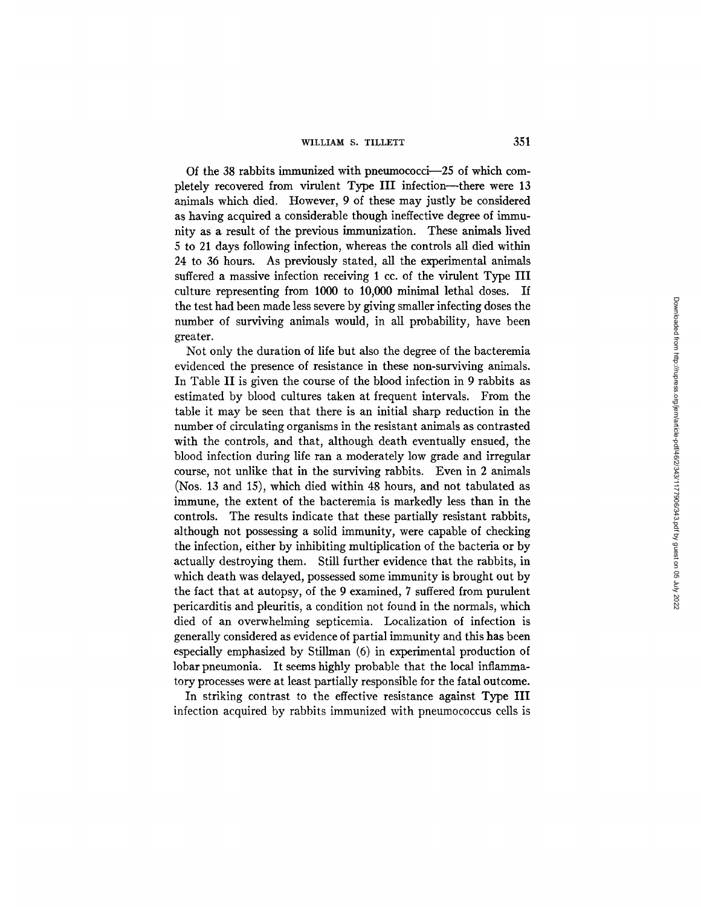Of the 38 rabbits immunized with pneumococci--25 of which completely recovered from virulent Type III infection--there were 13 animals which died. However, 9 of these may justly be considered as having acquired a considerable though ineffective degree of immunity as a result of the previous immunization. These animals lived 5 to 21 days following infection, whereas the controls all died within 24 to 36 hours. As previously stated, all the experimental animals suffered a massive infection receiving 1 cc. of the virulent Type III culture representing from 1000 to 10,000 minimal lethal doses. If the test had been made less severe by giving smaller infecting doses the number of surviving animals would, in all probability, have been greater.

Not only the duration of life but also the degree of the bacteremia evidenced the presence of resistance in these non-surviving animals. In Table II is given the course of the blood infection in 9 rabbits as estimated by blood cultures taken at frequent intervals. From the table it may be seen that there is an initial sharp reduction in the number of circulating organisms in the resistant animals as contrasted with the controls, and that, although death eventually ensued, the blood infection during life ran a moderately low grade and irregular course, not unlike that in the surviving rabbits. Even in 2 animals (Nos. 13 and 15), which died within 48 hours, and not tabulated as immune, the extent of the bacteremia is markedly less than in the controls. The results indicate that these partially resistant rabbits, although not possessing a solid immunity, were capable of checking the infection, either by inhibiting multiplication of the bacteria or by actually destroying them. Still further evidence that the rabbits, in which death was delayed, possessed some immunity is brought out by the fact that at autopsy, of the 9 examined, 7 suffered from purulent pericarditis and pleuritis, a condition not found in the normals, which died of an overwhelming septicemia. Localization of infection is generally considered as evidence of partial immunity and this has been especially emphasized by Stillman (6) in experimental production of lobar pneumonia. It seems highly probable that the local inflammatory processes were at least partially responsible for the fatal outcome.

In striking contrast to the effective resistance against Type III infection acquired by rabbits immunized with pneumococcus cells is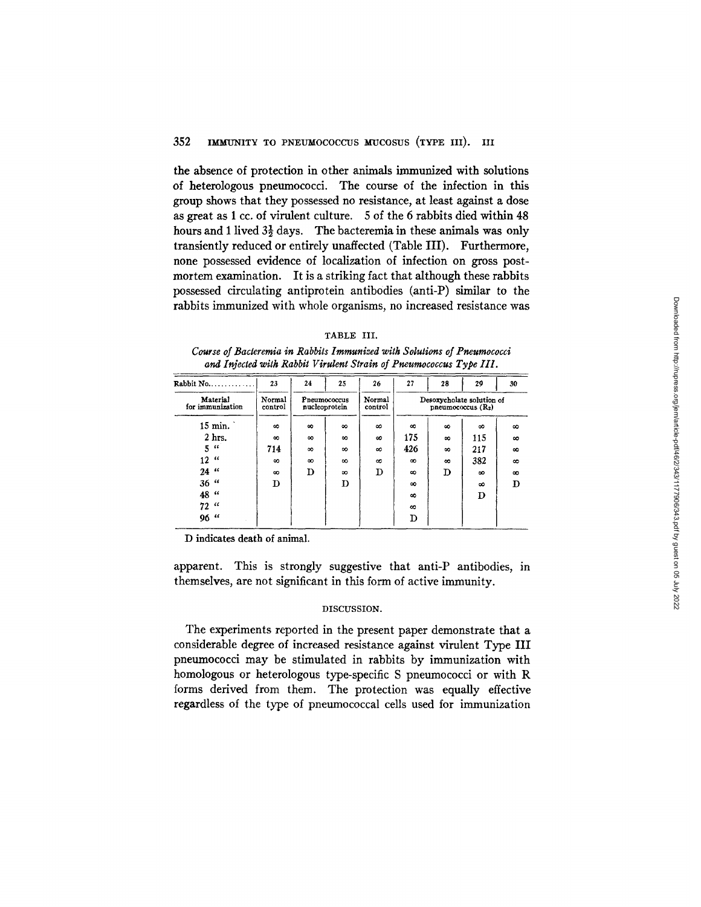the absence of protection in other animals immunized with solutions of heterologous pneumococci. The course of the infection in this group shows that they possessed no resistance, at least against a dose as great as 1 cc. of virulent culture. 5 of the 6 rabbits died within 48 hours and 1 lived  $3\frac{1}{2}$  days. The bacteremia in these animals was only transiently reduced or entirely unaffected (Table III). Furthermore, none possessed evidence of localization of infection on gross postmortem examination. It is a striking fact that although these rabbits possessed circulating antiprotein antibodies (anti-P) similar to the rabbits immunized with whole organisms, no increased resistance was

#### TABLE III.

*Course of Bacteremia in Rabbits Immunized with Solutions of Pneumococci and Injected with Rabbit Virulent Strain of Pneumococcus Type HI.* 

| Rabbit No.                   | 23                | 24            | 25           | 26                | 27                                                | 28       | 29       | 30       |  |  |
|------------------------------|-------------------|---------------|--------------|-------------------|---------------------------------------------------|----------|----------|----------|--|--|
| Material<br>for immunization | Normal<br>control | nucleoprotein | Pneumococcus | Normal<br>control | Desoxycholate solution of<br>pneumococcus $(R_2)$ |          |          |          |  |  |
| $15 \text{ min.}$            | $\infty$          | $\infty$      | $\infty$     | $\infty$          | $\infty$                                          | $\infty$ | $\infty$ | $\infty$ |  |  |
| 2 <sub>hrs.</sub>            | $\infty$          | $\infty$      | $\infty$     | $\infty$          | 175                                               | $\infty$ | 115      | $\infty$ |  |  |
| $5$ "                        | 714               | $\infty$      | $\infty$     | $\infty$          | 426                                               | $\infty$ | 217      | $\infty$ |  |  |
| $12^{16}$                    | $\infty$          | $\infty$      | $\infty$     | $\infty$          | $\infty$                                          | $\infty$ | 382      | $\infty$ |  |  |
| $24$ "                       | $\infty$          | D             | $\infty$     | D                 | $\infty$                                          | D        | œ        | œ        |  |  |
| $36$ $\frac{4}{3}$           | D                 |               | D            |                   | $\infty$                                          |          | $\infty$ | D        |  |  |
| 48 "                         |                   |               |              |                   | $\infty$                                          |          | D        |          |  |  |
| $72$ $\alpha$                |                   |               |              |                   | $\infty$                                          |          |          |          |  |  |
| $96$ "                       |                   |               |              |                   | D                                                 |          |          |          |  |  |

D indicates death of animal.

apparent. This is strongly suggestive that anti-P antibodies, in themselves, are not significant in this form of active immunity.

### DISCUSSION.

The experiments reported in the present paper demonstrate that a considerable degree of increased resistance against virulent Type III pneumococci may be stimulated in rabbits by immunization with homologous or heterologous type-specific S pneumococci or with R forms derived from them. The protection was equally effective regardless of the type of pneumococcal cells used for immunization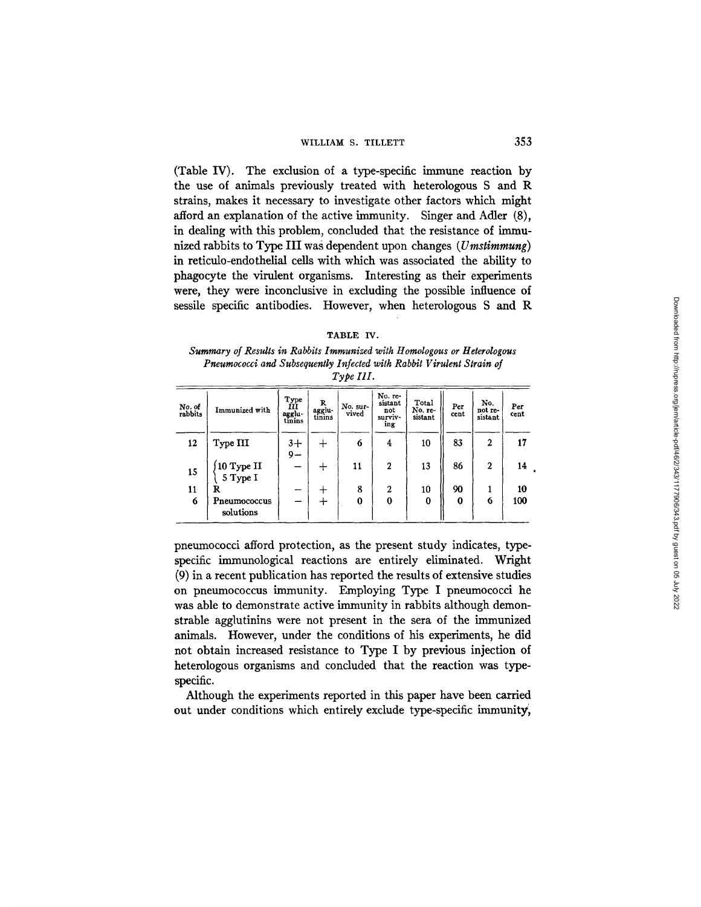(Table IV). The exclusion of a type-specific immune reaction by the use of animals previously treated with heterologous S and R strains, makes it necessary to investigate other factors which might afford an explanation of the active immunity. Singer and Adler (8), in dealing with this problem, concluded that the resistance of immunized rabbits to Type III was dependent upon changes *(Umstimmung)*  in reticulo-endothelial cells with which was associated the ability to phagocyte the virulent organisms. Interesting as their experiments were, they were inconclusive in excluding the possible influence of sessile specific antibodies. However, when heterologous S and R

#### TABLE IV.

*Summary of Results in Rabbits Immunized with Homologous or Heterologous Pneumococci and Subsequently Infected with Rabbit Virulent Strain of Type Ill.* 

| No. of<br>rabbits | Immunized with                                                                    | Type<br>ш<br>agglu-<br>tinins | R<br>agglu-<br>tinins | No. sur-<br>vived | No. re-<br>sistant<br>not<br>surviv-<br>ing | Total<br>No. re-<br>sistant | Per<br>cent | No.<br>not re-<br>sistant | Per<br>cent |
|-------------------|-----------------------------------------------------------------------------------|-------------------------------|-----------------------|-------------------|---------------------------------------------|-----------------------------|-------------|---------------------------|-------------|
| 12                | Type III                                                                          | $3+$<br>$Q-$                  | $\div$                | 6                 | 4                                           | 10                          | 83          | $\overline{2}$            | 17          |
| 15                | $\begin{array}{l} \big( 10\text{ Type II}\ \big) \:\:5\text{ Type I} \end{array}$ |                               |                       | 11                | $\overline{2}$                              | 13                          | 86          | $\mathbf{2}$              | 14          |
| 11                | R                                                                                 |                               | $\, +$                | 8                 | $\boldsymbol{2}$                            | 10                          | 90          |                           | 10          |
| 6                 | Pneumococcus<br>solutions                                                         |                               | ┿                     | 0                 | $\bf{0}$                                    | 0                           | 0           | 6                         | 100         |

pneumococci afford protection, as the present study indicates, typespecific immunological reactions are entirely eliminated. Wright (9) in a recent publication has reported the results of extensive studies on pneumococcus immunity. Employing Type I pneumococci he was able to demonstrate active immunity in rabbits although demonstrable agglutinins were not present in the sera of the immunized animals. However, under the conditions of his experiments, he did not obtain increased resistance to Type I by previous injection of heterologous organisms and concluded that the reaction was typespecific.

Although the experiments reported in this paper have been carried out under conditions which entirely exclude type-specific immunity,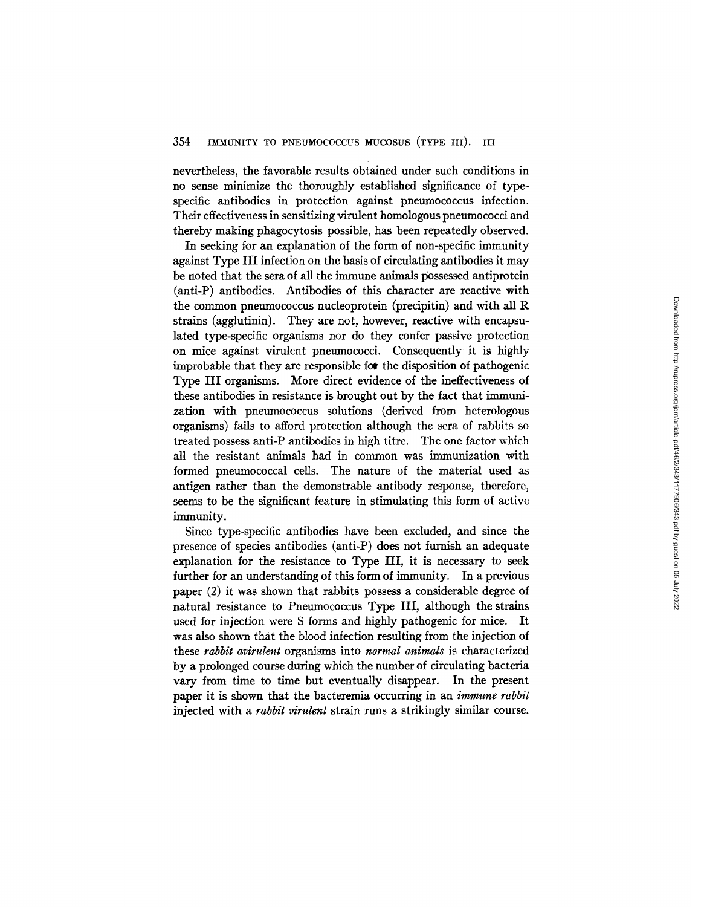nevertheless, the favorable results obtained under such conditions in no sense minimize the thoroughly established significance of typespecific antibodies in protection against pneumococcus infection. Their effectiveness in sensitizing virulent homologous pneumococci and thereby making phagocytosis possible, has been repeatedly observed.

In seeking for an explanation of the form of non-specific immunity against Type III infection on the basis of circulating antibodies it may be noted that the sera of all the immune animals possessed antiprotein (anti-P) antibodies. Antibodies of this character are reactive with the common pneumococcus nucleoprotein (precipitin) and with all R strains (agglutinin). They are not, however, reactive with encapsulated type-specific organisms nor do they confer passive protection on mice against virulent pneumococci. Consequently it is highly improbable that they are responsible for the disposition of pathogenic Type III organisms. More direct evidence of the ineffectiveness of these antibodies in resistance is brought out by the fact that immunization with pneumococcus solutions (derived from heterologous organisms) fails to afford protection although the sera of rabbits so treated possess anti-P antibodies in high titre. The one factor which all the resistant animals had in common was immunization with formed pneumococcal cells. The nature of the material used as antigen rather than the demonstrable antibody response, therefore, seems to be the significant feature in stimulating this form of active immunity.

Since type-specific antibodies have been excluded, and since the presence of species antibodies (anti-P) does not furnish an adequate explanation for the resistance to Type III, it is necessary to seek further for an understanding of this form of immunity. In a previous paper (2) it was shown that rabbits possess a considerable degree of natural resistance to Pneumococcus Type III, although the strains used for injection were S forms and highly pathogenic for mice. It was also shown that the blood infection resulting from the injection of these *rabbit avirulent* organisms into *normal animals* is characterized by a prolonged course during which the number of circulating bacteria vary from time to time but eventually disappear. In the present paper it is shown that the bacteremia occurring in an *immune rabbit*  injected with a *rabbit virulent* strain runs a strikingly similar course.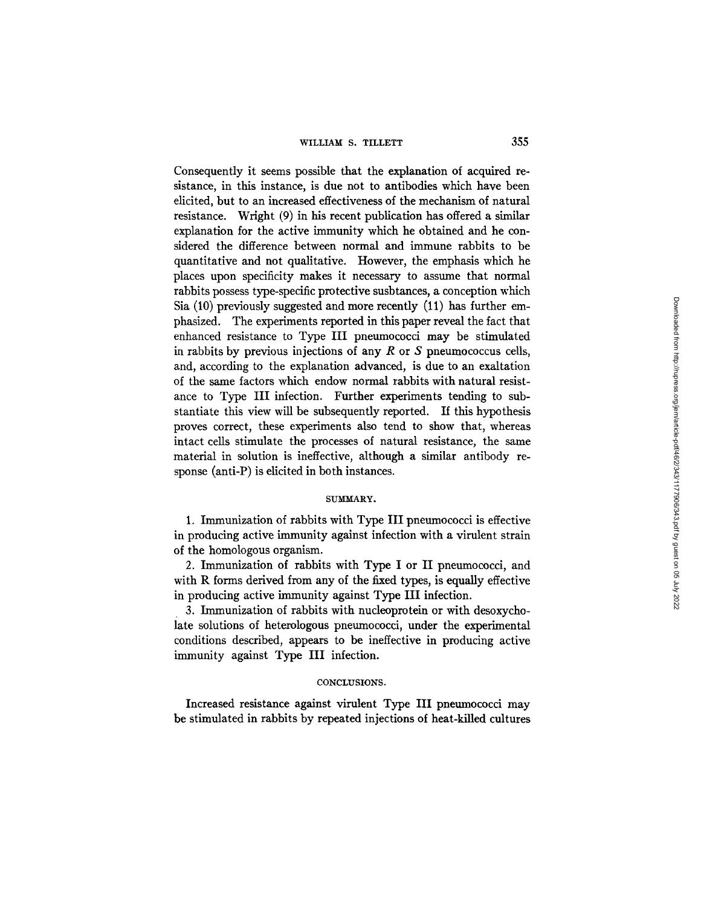Consequently it seems possible that the explanation of acquired resistance, in this instance, is due not to antibodies which have been elicited, but to an increased effectiveness of the mechanism of natural resistance. Wright (9) in his recent publication has offered a similar explanation for the active immunity which he obtained and he considered the difference between normal and immune rabbits to be quantitative and not qualitative. However, the emphasis which he places upon specificity makes it necessary to assume that normal rabbits possess type-specific protective susbtances, a conception which Sia (10) previously suggested and more recently (11) has further emphasized. The experiments reported in this paper reveal the fact that enhanced resistance to Type III pneumococci may be stimulated in rabbits by previous injections of any  $R$  or  $S$  pneumococcus cells, and, according to the explanation advanced, is due to an exaltation of the same factors which endow normal rabbits with natural resistance to Type III infection. Further experiments tending to substantiate this view will be subsequently reported. If this hypothesis proves correct, these experiments also tend to show that, whereas intact cells stimulate the processes of natural resistance, the same material in solution is ineffective, although a similar antibody response (anti-P) is elicited in both instances.

## SUMMARY.

1. Immunization of rabbits with Type III pneumococci is effective in producing active immunity against infection with a virulent strain of the homologous organism.

2. Immunization of rabbits with Type I or II pneumococci, and with R forms derived from any of the fixed types, is equally effective in producing active immunity against Type III infection.

3. Immunization of rabbits with nucleoprotein or with desoxycholate solutions of heterologous pneumococci, under the experimental conditions described, appears to be ineffective in producing active immunity against Type III infection.

#### CONCLUSIONS.

Increased resistance against virulent Type III pneumococci may be stimulated in rabbits by repeated injections of heat-killed cultures